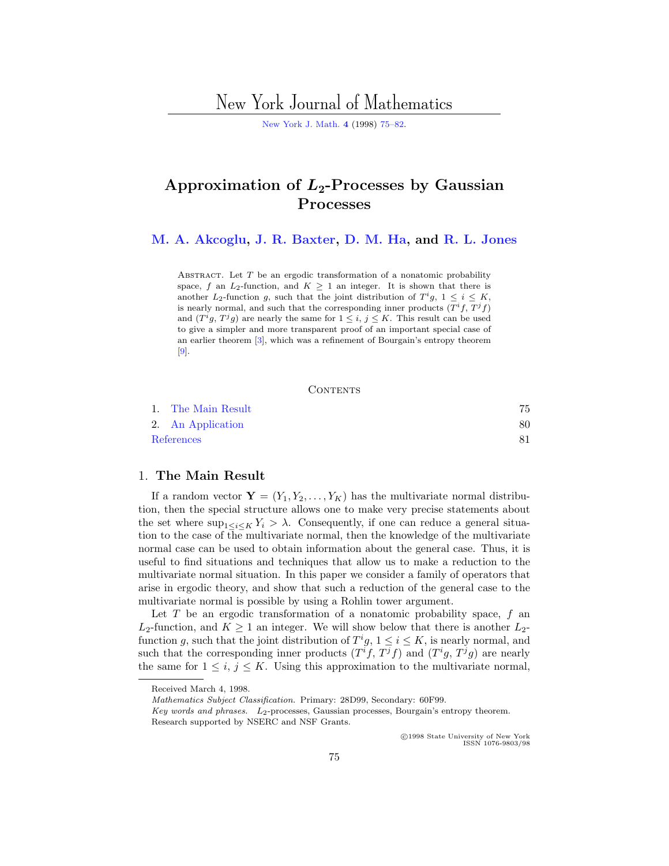# New York Journal of Mathematics

[New York J. Math.](http://nyjm.albany.edu:8000/nyjm.html) **[4](http://nyjm.albany.edu:8000/j/1998/Vol4.html)** (1998) [75–82.](http://nyjm.albany.edu:8000/j/1998/4-6.html)

# **Approximation of** *L***2-Processes by Gaussian Processes**

**[M. A. Akcoglu,](#page-7-0) [J. R. Baxter](#page-7-0), [D. M. Ha,](#page-7-0) and [R. L. Jones](#page-7-0)**

ABSTRACT. Let  $T$  be an ergodic transformation of a nonatomic probability space, f an  $L_2$ -function, and  $K \geq 1$  an integer. It is shown that there is another  $L_2$ -function g, such that the joint distribution of  $T^ig$ ,  $1 \leq i \leq K$ , is nearly normal, and such that the corresponding inner products  $(T<sup>i</sup>f, T<sup>j</sup>f)$ and  $(T^ig, T^jg)$  are nearly the same for  $1 \leq i, j \leq K$ . This result can be used to give a simpler and more transparent proof of an important special case of an earlier theorem [[3\]](#page-7-0), which was a refinement of Bourgain's entropy theorem [[9](#page-7-0)].

#### **CONTENTS**

|            | 1. The Main Result |  |
|------------|--------------------|--|
|            | 2. An Application  |  |
| References |                    |  |

### 1. **The Main Result**

If a random vector  $\mathbf{Y} = (Y_1, Y_2, \dots, Y_K)$  has the multivariate normal distribution, then the special structure allows one to make very precise statements about the set where  $\sup_{1 \leq i \leq K} Y_i > \lambda$ . Consequently, if one can reduce a general situation to the case of the multivariate normal, then the knowledge of the multivariate normal case can be used to obtain information about the general case. Thus, it is useful to find situations and techniques that allow us to make a reduction to the multivariate normal situation. In this paper we consider a family of operators that arise in ergodic theory, and show that such a reduction of the general case to the multivariate normal is possible by using a Rohlin tower argument.

Let  $T$  be an ergodic transformation of a nonatomic probability space,  $f$  and  $L_2$ -function, and  $K \geq 1$  an integer. We will show below that there is another  $L_2$ function g, such that the joint distribution of  $T^i g$ ,  $1 \leq i \leq K$ , is nearly normal, and such that the corresponding inner products  $(T<sup>i</sup>f, T<sup>j</sup>f)$  and  $(T<sup>i</sup>g, T<sup>j</sup>g)$  are nearly the same for  $1 \leq i, j \leq K$ . Using this approximation to the multivariate normal,

c 1998 State University of New York ISSN 1076-9803/98

Received March 4, 1998.

Mathematics Subject Classification. Primary: 28D99, Secondary: 60F99.

Key words and phrases.  $L_2$ -processes, Gaussian processes, Bourgain's entropy theorem. Research supported by NSERC and NSF Grants.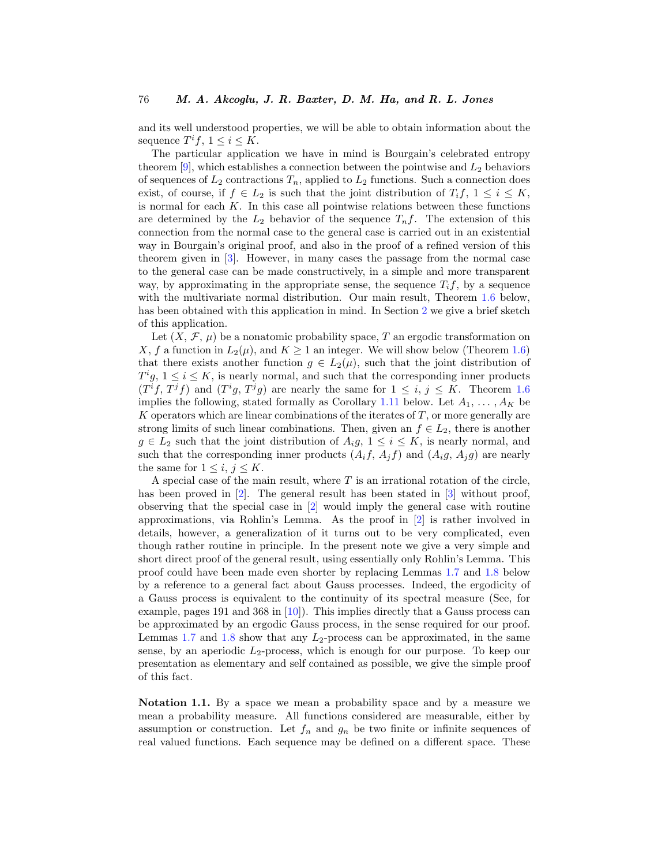<span id="page-1-0"></span>and its well understood properties, we will be able to obtain information about the sequence  $T^if, 1 \leq i \leq K$ .

The particular application we have in mind is Bourgain's celebrated entropy theorem  $[9]$  $[9]$ , which establishes a connection between the pointwise and  $L_2$  behaviors of sequences of  $L_2$  contractions  $T_n$ , applied to  $L_2$  functions. Such a connection does exist, of course, if  $f \in L_2$  is such that the joint distribution of  $T_i f$ ,  $1 \leq i \leq K$ , is normal for each  $K$ . In this case all pointwise relations between these functions are determined by the  $L_2$  behavior of the sequence  $T_n f$ . The extension of this connection from the normal case to the general case is carried out in an existential way in Bourgain's original proof, and also in the proof of a refined version of this theorem given in [\[3](#page-7-0)]. However, in many cases the passage from the normal case to the general case can be made constructively, in a simple and more transparent way, by approximating in the appropriate sense, the sequence  $T_i f$ , by a sequence with the multivariate normal distribution. Our main result, Theorem [1.6](#page-3-0) below, has been obtained with this application in mind. In Section [2](#page-5-0) we give a brief sketch of this application.

Let  $(X, \mathcal{F}, \mu)$  be a nonatomic probability space, T an ergodic transformation on X, f a function in  $L_2(\mu)$ , and  $K \geq 1$  an integer. We will show below (Theorem [1.6](#page-3-0)) that there exists another function  $g \in L_2(\mu)$ , such that the joint distribution of  $T^i g$ ,  $1 \leq i \leq K$ , is nearly normal, and such that the corresponding inner products  $(T<sup>i</sup>f, T<sup>j</sup>f)$  and  $(T<sup>i</sup>g, T<sup>j</sup>g)$  are nearly the same for  $1 \leq i, j \leq K$ . Theorem [1.6](#page-3-0) implies the following, stated formally as Corollary [1.11](#page-5-0) below. Let  $A_1, \ldots, A_K$  be  $K$  operators which are linear combinations of the iterates of  $T$ , or more generally are strong limits of such linear combinations. Then, given an  $f \in L_2$ , there is another  $g \in L_2$  such that the joint distribution of  $A_i g$ ,  $1 \leq i \leq K$ , is nearly normal, and such that the corresponding inner products  $(A_i f, A_j f)$  and  $(A_i g, A_j g)$  are nearly the same for  $1 \leq i, j \leq K$ .

A special case of the main result, where  $T$  is an irrational rotation of the circle, has been proved in [\[2](#page-6-0)]. The general result has been stated in [\[3\]](#page-7-0) without proof, observing that the special case in [[2\]](#page-6-0) would imply the general case with routine approximations, via Rohlin's Lemma. As the proof in [\[2](#page-6-0)] is rather involved in details, however, a generalization of it turns out to be very complicated, even though rather routine in principle. In the present note we give a very simple and short direct proof of the general result, using essentially only Rohlin's Lemma. This proof could have been made even shorter by replacing Lemmas [1.7](#page-4-0) and [1.8](#page-4-0) below by a reference to a general fact about Gauss processes. Indeed, the ergodicity of a Gauss process is equivalent to the continuity of its spectral measure (See, for example, pages 191 and 368 in [\[10](#page-7-0)]). This implies directly that a Gauss process can be approximated by an ergodic Gauss process, in the sense required for our proof. Lemmas [1.7](#page-4-0) and [1.8](#page-4-0) show that any  $L_2$ -process can be approximated, in the same sense, by an aperiodic  $L_2$ -process, which is enough for our purpose. To keep our presentation as elementary and self contained as possible, we give the simple proof of this fact.

**Notation 1.1.** By a space we mean a probability space and by a measure we mean a probability measure. All functions considered are measurable, either by assumption or construction. Let  $f_n$  and  $g_n$  be two finite or infinite sequences of real valued functions. Each sequence may be defined on a different space. These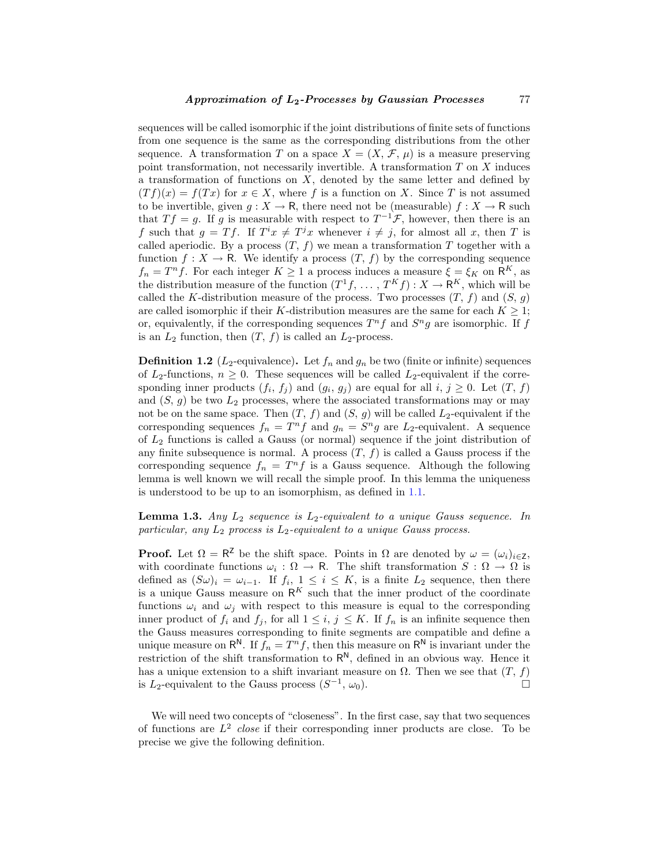sequences will be called isomorphic if the joint distributions of finite sets of functions from one sequence is the same as the corresponding distributions from the other sequence. A transformation T on a space  $X = (X, \mathcal{F}, \mu)$  is a measure preserving point transformation, not necessarily invertible. A transformation  $T$  on  $X$  induces a transformation of functions on  $X$ , denoted by the same letter and defined by  $(Tf)(x) = f(Tx)$  for  $x \in X$ , where f is a function on X. Since T is not assumed to be invertible, given  $g: X \to \mathsf{R}$ , there need not be (measurable)  $f: X \to \mathsf{R}$  such that  $T f = g$ . If g is measurable with respect to  $T^{-1} \mathcal{F}$ , however, then there is an f such that  $g = Tf$ . If  $T^i x \neq T^j x$  whenever  $i \neq j$ , for almost all x, then T is called aperiodic. By a process  $(T, f)$  we mean a transformation T together with a function  $f: X \to \mathsf{R}$ . We identify a process  $(T, f)$  by the corresponding sequence  $f_n = T^n f$ . For each integer  $K \geq 1$  a process induces a measure  $\xi = \xi_K$  on  $\mathsf{R}^K$ , as the distribution measure of the function  $(T^1f, \ldots, T^Kf) : X \to \mathbb{R}^K$ , which will be called the K-distribution measure of the process. Two processes  $(T, f)$  and  $(S, g)$ are called isomorphic if their K-distribution measures are the same for each  $K \geq 1$ ; or, equivalently, if the corresponding sequences  $T^n f$  and  $S^n g$  are isomorphic. If f is an  $L_2$  function, then  $(T, f)$  is called an  $L_2$ -process.

**Definition 1.2** ( $L_2$ -equivalence). Let  $f_n$  and  $g_n$  be two (finite or infinite) sequences of  $L_2$ -functions,  $n \geq 0$ . These sequences will be called  $L_2$ -equivalent if the corresponding inner products  $(f_i, f_j)$  and  $(g_i, g_j)$  are equal for all  $i, j \geq 0$ . Let  $(T, f)$ and  $(S, g)$  be two  $L_2$  processes, where the associated transformations may or may not be on the same space. Then  $(T, f)$  and  $(S, g)$  will be called  $L_2$ -equivalent if the corresponding sequences  $f_n = T^n f$  and  $g_n = S^n g$  are  $L_2$ -equivalent. A sequence of  $L_2$  functions is called a Gauss (or normal) sequence if the joint distribution of any finite subsequence is normal. A process  $(T, f)$  is called a Gauss process if the corresponding sequence  $f_n = T^n f$  is a Gauss sequence. Although the following lemma is well known we will recall the simple proof. In this lemma the uniqueness is understood to be up to an isomorphism, as defined in [1.1.](#page-1-0)

**Lemma 1.3.** Any  $L_2$  sequence is  $L_2$ -equivalent to a unique Gauss sequence. In particular, any  $L_2$  process is  $L_2$ -equivalent to a unique Gauss process.

**Proof.** Let  $\Omega = \mathbb{R}^Z$  be the shift space. Points in  $\Omega$  are denoted by  $\omega = (\omega_i)_{i \in \mathbb{Z}}$ , with coordinate functions  $\omega_i : \Omega \to \mathsf{R}$ . The shift transformation  $S : \Omega \to \Omega$  is defined as  $(S\omega)_i = \omega_{i-1}$ . If  $f_i$ ,  $1 \leq i \leq K$ , is a finite  $L_2$  sequence, then there is a unique Gauss measure on  $\mathsf{R}^K$  such that the inner product of the coordinate functions  $\omega_i$  and  $\omega_j$  with respect to this measure is equal to the corresponding inner product of  $f_i$  and  $f_j$ , for all  $1 \leq i, j \leq K$ . If  $f_n$  is an infinite sequence then the Gauss measures corresponding to finite segments are compatible and define a unique measure on  $\mathsf{R}^{\mathsf{N}}$ . If  $f_n = T^n f$ , then this measure on  $\mathsf{R}^{\mathsf{N}}$  is invariant under the restriction of the shift transformation to  $R^N$ , defined in an obvious way. Hence it has a unique extension to a shift invariant measure on  $\Omega$ . Then we see that  $(T, f)$ is L<sub>2</sub>-equivalent to the Gauss process  $(S^{-1}, \omega_0)$ . □

We will need two concepts of "closeness". In the first case, say that two sequences of functions are  $L^2$  close if their corresponding inner products are close. To be precise we give the following definition.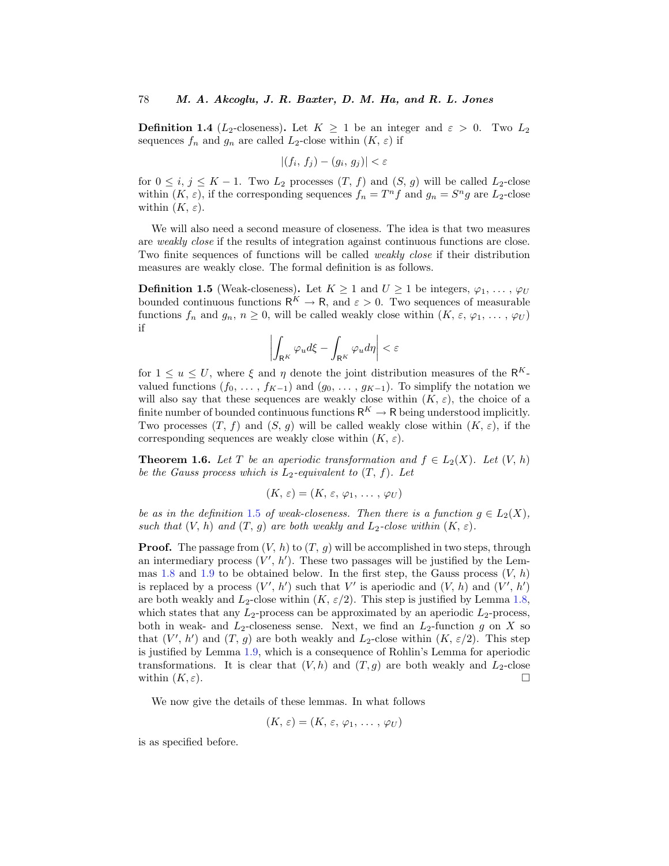<span id="page-3-0"></span>**Definition 1.4** (L<sub>2</sub>-closeness). Let  $K \geq 1$  be an integer and  $\varepsilon > 0$ . Two L<sub>2</sub> sequences  $f_n$  and  $g_n$  are called  $L_2$ -close within  $(K, \varepsilon)$  if

$$
|(f_i, f_j) - (g_i, g_j)| < \varepsilon
$$

for  $0 \le i, j \le K - 1$ . Two  $L_2$  processes  $(T, f)$  and  $(S, g)$  will be called  $L_2$ -close within  $(K, \varepsilon)$ , if the corresponding sequences  $f_n = T^n f$  and  $g_n = S^n g$  are  $L_2$ -close within  $(K, \varepsilon)$ .

We will also need a second measure of closeness. The idea is that two measures are weakly close if the results of integration against continuous functions are close. Two finite sequences of functions will be called weakly close if their distribution measures are weakly close. The formal definition is as follows.

**Definition 1.5** (Weak-closeness). Let  $K \geq 1$  and  $U \geq 1$  be integers,  $\varphi_1, \ldots, \varphi_U$ bounded continuous functions  $\mathsf{R}^K \to \mathsf{R}$ , and  $\varepsilon > 0$ . Two sequences of measurable functions  $f_n$  and  $g_n$ ,  $n \geq 0$ , will be called weakly close within  $(K, \varepsilon, \varphi_1, \ldots, \varphi_U)$ if

$$
\left|\int_{\mathsf{R}^K} \varphi_u d\xi - \int_{\mathsf{R}^K} \varphi_u d\eta\right| < \varepsilon
$$

for  $1 \le u \le U$ , where  $\xi$  and  $\eta$  denote the joint distribution measures of the R<sup>K</sup>valued functions  $(f_0, \ldots, f_{K-1})$  and  $(g_0, \ldots, g_{K-1})$ . To simplify the notation we will also say that these sequences are weakly close within  $(K, \varepsilon)$ , the choice of a finite number of bounded continuous functions  $R^K \to R$  being understood implicitly. Two processes  $(T, f)$  and  $(S, g)$  will be called weakly close within  $(K, \varepsilon)$ , if the corresponding sequences are weakly close within  $(K, \varepsilon)$ .

**Theorem 1.6.** Let T be an aperiodic transformation and  $f \in L_2(X)$ . Let  $(V, h)$ be the Gauss process which is  $L_2$ -equivalent to  $(T, f)$ . Let

$$
(K,\,\varepsilon)=(K,\,\varepsilon,\,\varphi_1,\,\ldots\,,\,\varphi_U)
$$

be as in the definition 1.5 of weak-closeness. Then there is a function  $q \in L_2(X)$ , such that  $(V, h)$  and  $(T, g)$  are both weakly and  $L_2$ -close within  $(K, \varepsilon)$ .

**Proof.** The passage from  $(V, h)$  to  $(T, g)$  will be accomplished in two steps, through an intermediary process  $(V', h')$ . These two passages will be justified by the Lem-mas [1.8](#page-4-0) and [1.9](#page-4-0) to be obtained below. In the first step, the Gauss process  $(V, h)$ is replaced by a process  $(V', h')$  such that V' is aperiodic and  $(V, h)$  and  $(V', h')$ are both weakly and  $L_2$ -close within  $(K, \varepsilon/2)$ . This step is justified by Lemma [1.8,](#page-4-0) which states that any  $L_2$ -process can be approximated by an aperiodic  $L_2$ -process, both in weak- and  $L_2$ -closeness sense. Next, we find an  $L_2$ -function g on X so that  $(V', h')$  and  $(T, g)$  are both weakly and  $L_2$ -close within  $(K, \varepsilon/2)$ . This step is justified by Lemma [1.9](#page-4-0), which is a consequence of Rohlin's Lemma for aperiodic transformations. It is clear that  $(V,h)$  and  $(T,g)$  are both weakly and  $L_2$ -close within  $(K, \varepsilon)$ .

We now give the details of these lemmas. In what follows

$$
(K,\,\varepsilon)=(K,\,\varepsilon,\,\varphi_1,\,\ldots\,,\,\varphi_U)
$$

is as specified before.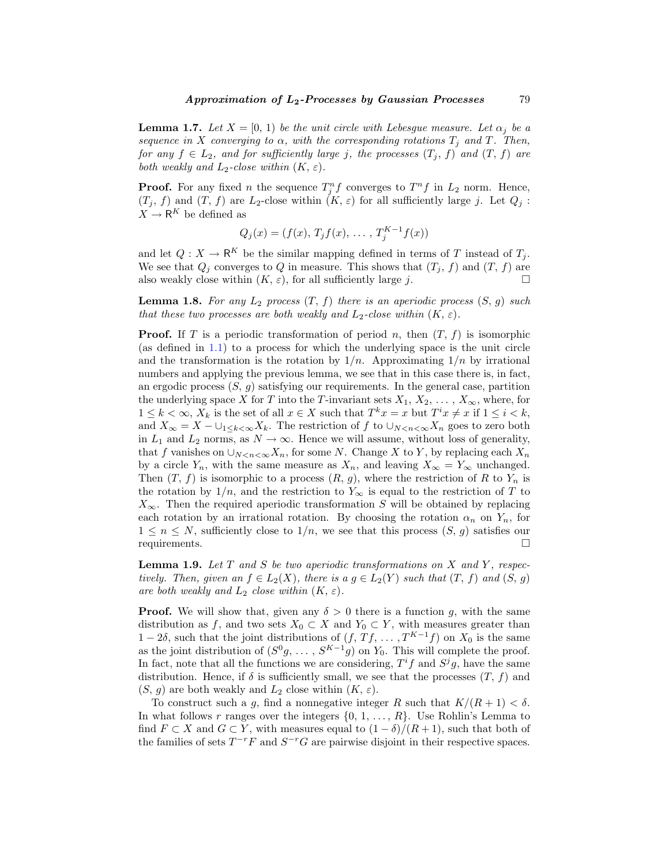<span id="page-4-0"></span>**Lemma 1.7.** Let  $X = [0, 1)$  be the unit circle with Lebesgue measure. Let  $\alpha_j$  be a sequence in X converging to  $\alpha$ , with the corresponding rotations  $T_j$  and T. Then, for any  $f \in L_2$ , and for sufficiently large j, the processes  $(T_j, f)$  and  $(T, f)$  are both weakly and  $L_2$ -close within  $(K, \varepsilon)$ .

**Proof.** For any fixed n the sequence  $T_j^n f$  converges to  $T^n f$  in  $L_2$  norm. Hence,  $(T_j, f)$  and  $(T, f)$  are  $L_2$ -close within  $(K, \varepsilon)$  for all sufficiently large j. Let  $Q_j$ :  $X \to \mathsf{R}^K$  be defined as

$$
Q_j(x) = (f(x), T_j f(x), \dots, T_j^{K-1} f(x))
$$

and let  $Q: X \to \mathsf{R}^K$  be the similar mapping defined in terms of T instead of  $T_j$ . We see that  $Q_i$  converges to Q in measure. This shows that  $(T_i, f)$  and  $(T, f)$  are also weakly close within  $(K, \varepsilon)$ , for all sufficiently large j.

**Lemma 1.8.** For any  $L_2$  process  $(T, f)$  there is an aperiodic process  $(S, g)$  such that these two processes are both weakly and  $L_2$ -close within  $(K, \varepsilon)$ .

**Proof.** If T is a periodic transformation of period n, then  $(T, f)$  is isomorphic (as defined in [1.1](#page-1-0)) to a process for which the underlying space is the unit circle and the transformation is the rotation by  $1/n$ . Approximating  $1/n$  by irrational numbers and applying the previous lemma, we see that in this case there is, in fact, an ergodic process  $(S, g)$  satisfying our requirements. In the general case, partition the underlying space X for T into the T-invariant sets  $X_1, X_2, \ldots, X_{\infty}$ , where, for  $1 \leq k < \infty$ ,  $X_k$  is the set of all  $x \in X$  such that  $T^k x = x$  but  $T^i x \neq x$  if  $1 \leq i < k$ , and  $X_{\infty} = X - \bigcup_{1 \leq k < \infty} X_k$ . The restriction of f to  $\bigcup_{N < n < \infty} X_n$  goes to zero both in  $L_1$  and  $L_2$  norms, as  $N \to \infty$ . Hence we will assume, without loss of generality, that f vanishes on  $\cup_{N \leq n \leq \infty} X_n$ , for some N. Change X to Y, by replacing each  $X_n$ by a circle  $Y_n$ , with the same measure as  $X_n$ , and leaving  $X_\infty = Y_\infty$  unchanged. Then  $(T, f)$  is isomorphic to a process  $(R, g)$ , where the restriction of R to Y<sub>n</sub> is the rotation by  $1/n$ , and the restriction to  $Y_{\infty}$  is equal to the restriction of T to  $X_{\infty}$ . Then the required aperiodic transformation S will be obtained by replacing each rotation by an irrational rotation. By choosing the rotation  $\alpha_n$  on  $Y_n$ , for  $1 \leq n \leq N$ , sufficiently close to  $1/n$ , we see that this process  $(S, g)$  satisfies our requirements.

**Lemma 1.9.** Let T and S be two aperiodic transformations on X and Y, respectively. Then, given an  $f \in L_2(X)$ , there is a  $g \in L_2(Y)$  such that  $(T, f)$  and  $(S, g)$ are both weakly and  $L_2$  close within  $(K, \varepsilon)$ .

**Proof.** We will show that, given any  $\delta > 0$  there is a function g, with the same distribution as f, and two sets  $X_0 \subset X$  and  $Y_0 \subset Y$ , with measures greater than 1 − 2δ, such that the joint distributions of  $(f, Tf, \ldots, T^{K-1}f)$  on  $X_0$  is the same as the joint distribution of  $(S^0g, \ldots, S^{K-1}g)$  on  $Y_0$ . This will complete the proof. In fact, note that all the functions we are considering,  $T<sup>i</sup>f$  and  $S<sup>j</sup>g$ , have the same distribution. Hence, if  $\delta$  is sufficiently small, we see that the processes  $(T, f)$  and  $(S, g)$  are both weakly and  $L_2$  close within  $(K, \varepsilon)$ .

To construct such a g, find a nonnegative integer R such that  $K/(R+1) < \delta$ . In what follows r ranges over the integers  $\{0, 1, \ldots, R\}$ . Use Rohlin's Lemma to find  $F \subset X$  and  $G \subset Y$ , with measures equal to  $(1 - \delta)/(R + 1)$ , such that both of the families of sets  $T^{-r}F$  and  $S^{-r}G$  are pairwise disjoint in their respective spaces.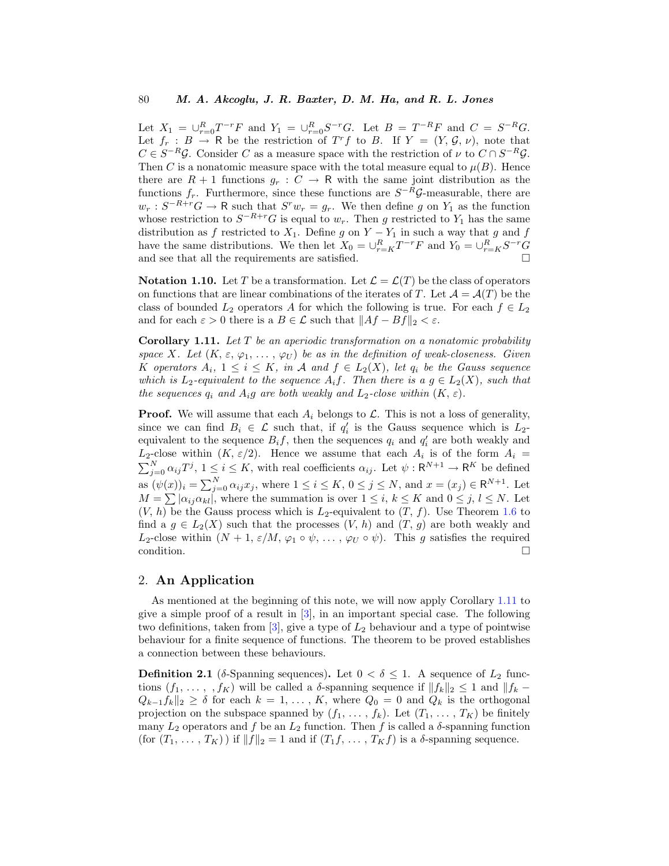<span id="page-5-0"></span>Let  $X_1 = \bigcup_{r=0}^{R} T^{-r} F$  and  $Y_1 = \bigcup_{r=0}^{R} S^{-r} G$ . Let  $B = T^{-R} F$  and  $C = S^{-R} G$ . Let  $f_r : B \to \mathbb{R}$  be the restriction of  $T^r f$  to B. If  $Y = (Y, \mathcal{G}, \nu)$ , note that  $C \in S^{-R}$  $\mathcal{G}$ . Consider C as a measure space with the restriction of  $\nu$  to  $C \cap S^{-R}$  $\mathcal{G}$ . Then C is a nonatomic measure space with the total measure equal to  $\mu(B)$ . Hence there are  $R + 1$  functions  $g_r : C \to \mathbb{R}$  with the same joint distribution as the functions  $f_r$ . Furthermore, since these functions are  $S^{-R}$  $\mathcal{G}$ -measurable, there are  $w_r : S^{-R+r}G \to \mathsf{R}$  such that  $S^r w_r = g_r$ . We then define g on  $Y_1$  as the function whose restriction to  $S^{-R+r}G$  is equal to  $w_r$ . Then g restricted to  $Y_1$  has the same distribution as f restricted to  $X_1$ . Define g on  $Y - Y_1$  in such a way that g and f have the same distributions. We then let  $X_0 = \bigcup_{r=K}^{R} T^{-r}F$  and  $Y_0 = \bigcup_{r=K}^{R} S^{-r}G$ and see that all the requirements are satisfied.  $\hfill \square$ 

**Notation 1.10.** Let T be a transformation. Let  $\mathcal{L} = \mathcal{L}(T)$  be the class of operators on functions that are linear combinations of the iterates of T. Let  $\mathcal{A} = \mathcal{A}(T)$  be the class of bounded  $L_2$  operators A for which the following is true. For each  $f \in L_2$ and for each  $\varepsilon > 0$  there is a  $B \in \mathcal{L}$  such that  $||Af - Bf||_2 < \varepsilon$ .

**Corollary 1.11.** Let T be an aperiodic transformation on a nonatomic probability space X. Let  $(K, \varepsilon, \varphi_1, \ldots, \varphi_U)$  be as in the definition of weak-closeness. Given K operators  $A_i$ ,  $1 \leq i \leq K$ , in A and  $f \in L_2(X)$ , let  $q_i$  be the Gauss sequence which is  $L_2$ -equivalent to the sequence  $A_i f$ . Then there is a  $g \in L_2(X)$ , such that the sequences  $q_i$  and  $A_i q$  are both weakly and  $L_2$ -close within  $(K, \varepsilon)$ .

**Proof.** We will assume that each  $A_i$  belongs to  $\mathcal{L}$ . This is not a loss of generality, since we can find  $B_i \in \mathcal{L}$  such that, if  $q'_i$  is the Gauss sequence which is  $L_2$ equivalent to the sequence  $B_i f$ , then the sequences  $q_i$  and  $q'_i$  are both weakly and  $L_2$ -close within  $(K, \varepsilon/2)$ . Hence we assume that each  $A_i$  is of the form  $A_i =$  $\sum_{j=0}^{N} \alpha_{ij} T^j$ ,  $1 \leq i \leq K$ , with real coefficients  $\alpha_{ij}$ . Let  $\psi : \mathsf{R}^{N+1} \to \mathsf{R}^K$  be defined as  $(\psi(x))_i = \sum_{j=0}^N \alpha_{ij} x_j$ , where  $1 \le i \le K$ ,  $0 \le j \le N$ , and  $x = (x_j) \in \mathbb{R}^{N+1}$ . Let  $M = \sum |\alpha_{ij}\alpha_{kl}|$ , where the summation is over  $1 \leq i, k \leq K$  and  $0 \leq j, l \leq N$ . Let  $(V, h)$  be the Gauss process which is  $L_2$ -equivalent to  $(T, f)$ . Use Theorem [1.6](#page-3-0) to find a  $g \in L_2(X)$  such that the processes  $(V, h)$  and  $(T, g)$  are both weakly and  $L_2$ -close within  $(N + 1, \varepsilon/M, \varphi_1 \circ \psi, \ldots, \varphi_U \circ \psi)$ . This g satisfies the required condition.  $\Box$ 

## 2. **An Application**

As mentioned at the beginning of this note, we will now apply Corollary 1.11 to give a simple proof of a result in  $[3]$  $[3]$ , in an important special case. The following two definitions, taken from  $[3]$  $[3]$ , give a type of  $L_2$  behaviour and a type of pointwise behaviour for a finite sequence of functions. The theorem to be proved establishes a connection between these behaviours.

**Definition 2.1** (δ-Spanning sequences). Let  $0 < \delta \leq 1$ . A sequence of  $L_2$  functions  $(f_1, \ldots, f_K)$  will be called a  $\delta$ -spanning sequence if  $||f_k||_2 \leq 1$  and  $||f_k Q_{k-1}f_k\|_2 \geq \delta$  for each  $k=1,\ldots,K$ , where  $Q_0=0$  and  $Q_k$  is the orthogonal projection on the subspace spanned by  $(f_1, \ldots, f_k)$ . Let  $(T_1, \ldots, T_K)$  be finitely many  $L_2$  operators and  $f$  be an  $L_2$  function. Then  $f$  is called a  $\delta$ -spanning function (for  $(T_1, \ldots, T_K)$ ) if  $||f||_2 = 1$  and if  $(T_1f, \ldots, T_Kf)$  is a  $\delta$ -spanning sequence.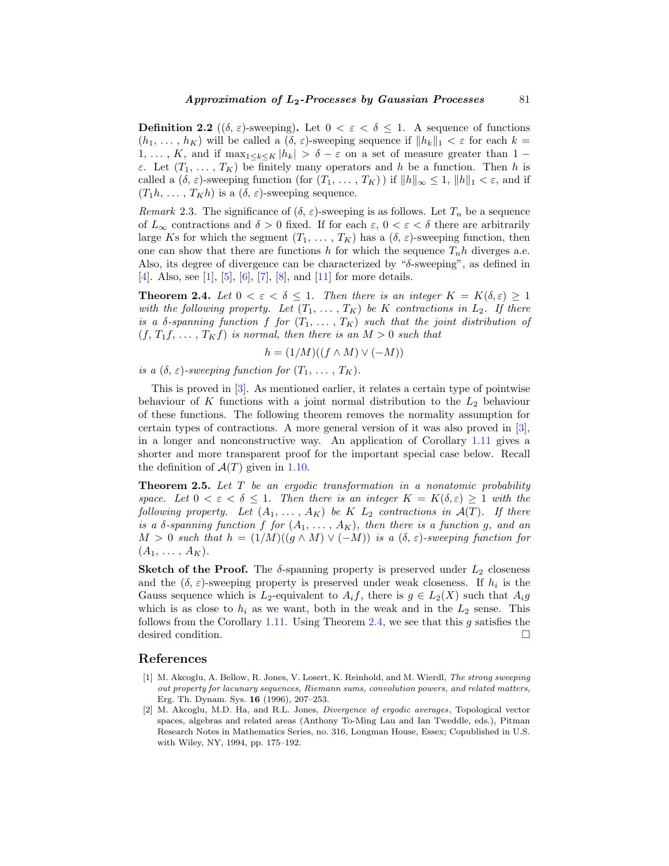<span id="page-6-0"></span>**Definition 2.2** ( $(\delta, \varepsilon)$ -sweeping). Let  $0 < \varepsilon < \delta \leq 1$ . A sequence of functions  $(h_1, \ldots, h_K)$  will be called a  $(\delta, \varepsilon)$ -sweeping sequence if  $||h_k||_1 < \varepsilon$  for each  $k =$  $1, \ldots, K$ , and if  $\max_{1 \leq k \leq K} |h_k| > \delta - \varepsilon$  on a set of measure greater than  $1 \varepsilon$ . Let  $(T_1, \ldots, T_K)$  be finitely many operators and h be a function. Then h is called a  $(\delta, \varepsilon)$ -sweeping function (for  $(T_1, \ldots, T_K)$ ) if  $||h||_{\infty} \leq 1$ ,  $||h||_1 < \varepsilon$ , and if  $(T_1h, \ldots, T_Kh)$  is a  $(\delta, \varepsilon)$ -sweeping sequence.

Remark 2.3. The significance of  $(\delta, \varepsilon)$ -sweeping is as follows. Let  $T_n$  be a sequence of  $L_{\infty}$  contractions and  $\delta > 0$  fixed. If for each  $\varepsilon$ ,  $0 < \varepsilon < \delta$  there are arbitrarily large Ks for which the segment  $(T_1, \ldots, T_K)$  has a  $(\delta, \varepsilon)$ -sweeping function, then one can show that there are functions h for which the sequence  $T_n h$  diverges a.e. Also, its degree of divergence can be characterized by "δ-sweeping", as defined in [\[4](#page-7-0)]. Also, see [1], [\[5](#page-7-0)], [[6\]](#page-7-0), [\[7](#page-7-0)], [[8\]](#page-7-0), and [[11\]](#page-7-0) for more details.

**Theorem 2.4.** Let  $0 < \varepsilon < \delta \leq 1$ . Then there is an integer  $K = K(\delta, \varepsilon) \geq 1$ with the following property. Let  $(T_1, \ldots, T_K)$  be K contractions in  $L_2$ . If there is a  $\delta$ -spanning function f for  $(T_1, \ldots, T_K)$  such that the joint distribution of  $(f, T_1f, \ldots, T_Kf)$  is normal, then there is an  $M > 0$  such that

$$
h = (1/M)((f \wedge M) \vee (-M))
$$

is a  $(\delta, \varepsilon)$ -sweeping function for  $(T_1, \ldots, T_K)$ .

This is proved in [[3\]](#page-7-0). As mentioned earlier, it relates a certain type of pointwise behaviour of K functions with a joint normal distribution to the  $L_2$  behaviour of these functions. The following theorem removes the normality assumption for certain types of contractions. A more general version of it was also proved in [[3\]](#page-7-0), in a longer and nonconstructive way. An application of Corollary [1.11](#page-5-0) gives a shorter and more transparent proof for the important special case below. Recall the definition of  $\mathcal{A}(T)$  given in [1.10](#page-5-0).

**Theorem 2.5.** Let T be an ergodic transformation in a nonatomic probability space. Let  $0 < \varepsilon < \delta \leq 1$ . Then there is an integer  $K = K(\delta, \varepsilon) \geq 1$  with the following property. Let  $(A_1, \ldots, A_K)$  be K  $L_2$  contractions in  $\mathcal{A}(T)$ . If there is a  $\delta$ -spanning function f for  $(A_1, \ldots, A_K)$ , then there is a function g, and an  $M > 0$  such that  $h = (1/M)((g \wedge M) \vee (-M))$  is a  $(\delta, \varepsilon)$ -sweeping function for  $(A_1, \ldots, A_K).$ 

**Sketch of the Proof.** The  $\delta$ -spanning property is preserved under  $L_2$  closeness and the  $(\delta, \varepsilon)$ -sweeping property is preserved under weak closeness. If  $h_i$  is the Gauss sequence which is  $L_2$ -equivalent to  $A_i f$ , there is  $g \in L_2(X)$  such that  $A_i g$ which is as close to  $h_i$  as we want, both in the weak and in the  $L_2$  sense. This follows from the Corollary [1.11.](#page-5-0) Using Theorem 2.4, we see that this  $g$  satisfies the desired condition.

#### **References**

- [1] M. Akcoglu, A. Bellow, R. Jones, V. Losert, K. Reinhold, and M. Wierdl, The strong sweeping out property for lacunary sequences, Riemann sums, convolution powers, and related matters, Erg. Th. Dynam. Sys. **16** (1996), 207–253.
- [2] M. Akcoglu, M.D. Ha, and R.L. Jones, Divergence of ergodic averages, Topological vector spaces, algebras and related areas (Anthony To-Ming Lau and Ian Tweddle, eds.), Pitman Research Notes in Mathematics Series, no. 316, Longman House, Essex; Copublished in U.S. with Wiley, NY, 1994, pp. 175–192.